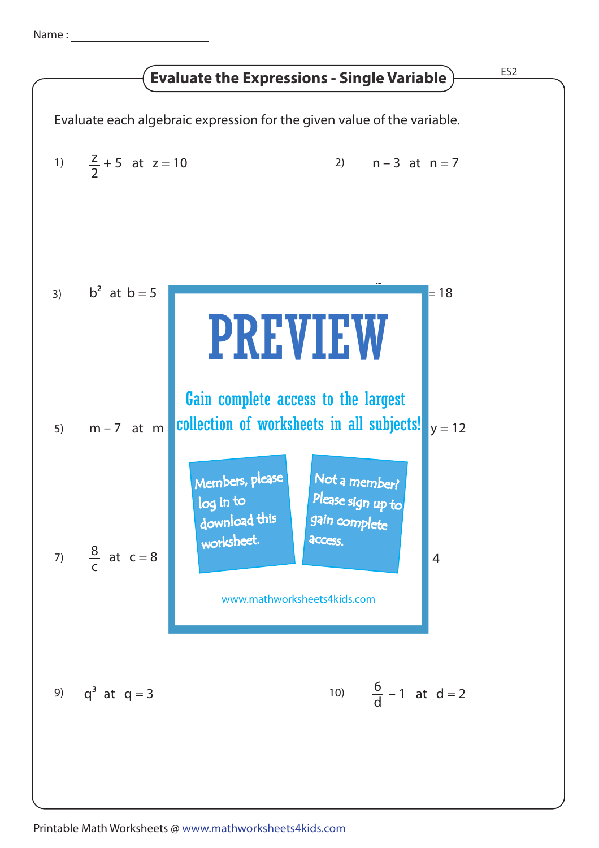